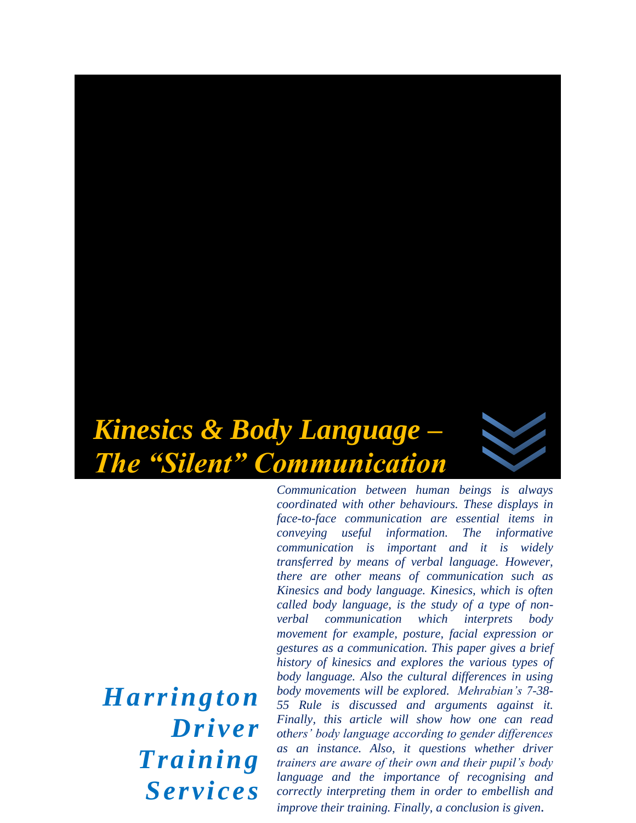

*Communication between human beings is always coordinated with other behaviours. These displays in face-to-face communication are essential items in conveying useful information. The informative communication is important and it is widely transferred by means of verbal language. However, there are other means of communication such as Kinesics and body language. Kinesics, which is often called body language, is the study of a type of nonverbal communication which interprets body movement for example, posture, facial expression or gestures as a communication. This paper gives a brief history of kinesics and explores the various types of body language. Also the cultural differences in using body movements will be explored. Mehrabian's 7-38- 55 Rule is discussed and arguments against it. Finally, this article will show how one can read others' body language according to gender differences as an instance. Also, it questions whether driver trainers are aware of their own and their pupil's body language and the importance of recognising and correctly interpreting them in order to embellish and improve their training. Finally, a conclusion is given.* 

*Harrington Driver Training Services*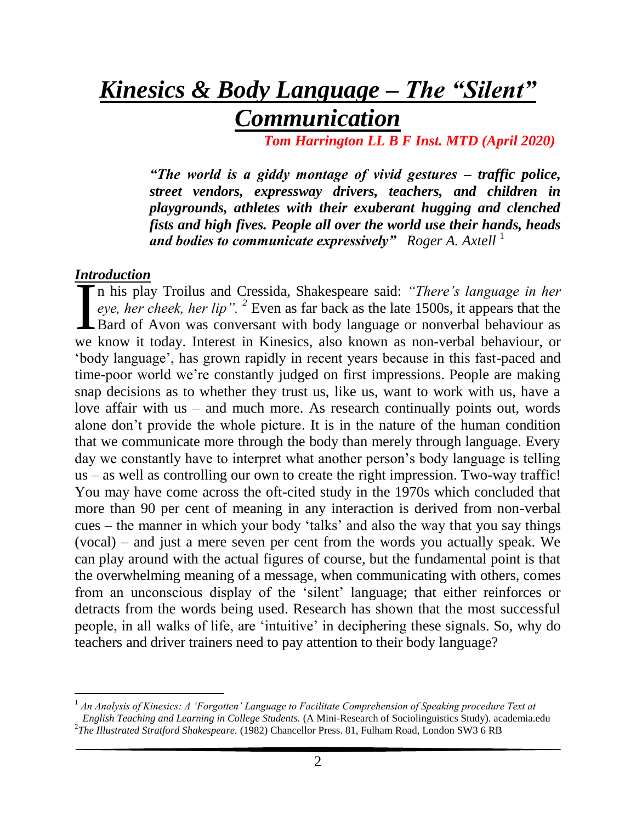*Kinesics & Body Language – The "Silent"*

# *Communication*

 *Tom Harrington LL B F Inst. MTD (April 2020)*

*"The world is a giddy montage of vivid gestures – traffic police, street vendors, expressway drivers, teachers, and children in playgrounds, athletes with their exuberant hugging and clenched fists and high fives. People all over the world use their hands, heads and bodies to communicate expressively <i>Roger A. Axtell* <sup>1</sup>

#### *Introduction*

l

n his play Troilus and Cressida, Shakespeare said: *"There's language in her eye, her cheek, her lip". <sup>2</sup>* Even as far back as the late 1500s, it appears that the Bard of Avon was conversant with body language or nonverbal behaviour as In his play Troilus and Cressida, Shakespeare said: "There's language in her eye, her cheek, her lip".<sup>2</sup> Even as far back as the late 1500s, it appears that the Bard of Avon was conversant with body language or nonverbal 'body language', has grown rapidly in recent years because in this fast-paced and time-poor world we're constantly judged on first impressions. People are making snap decisions as to whether they trust us, like us, want to work with us, have a love affair with us – and much more. As research continually points out, words alone don't provide the whole picture. It is in the nature of the human condition that we communicate more through the body than merely through language. Every day we constantly have to interpret what another person's body language is telling us – as well as controlling our own to create the right impression. Two-way traffic! You may have come across the oft-cited study in the 1970s which concluded that more than 90 per cent of meaning in any interaction is derived from non-verbal cues – the manner in which your body 'talks' and also the way that you say things (vocal) – and just a mere seven per cent from the words you actually speak. We can play around with the actual figures of course, but the fundamental point is that the overwhelming meaning of a message, when communicating with others, comes from an unconscious display of the 'silent' language; that either reinforces or detracts from the words being used. Research has shown that the most successful people, in all walks of life, are 'intuitive' in deciphering these signals. So, why do teachers and driver trainers need to pay attention to their body language?

<sup>&</sup>lt;sup>1</sup> An Analysis of Kinesics: A 'Forgotten' Language to Facilitate Comprehension of Speaking procedure Text at  *English Teaching and Learning in College Students.* (A Mini-Research of Sociolinguistics Study). academia.edu 2 *The Illustrated Stratford Shakespeare.* (1982) Chancellor Press. 81, Fulham Road, London SW3 6 RB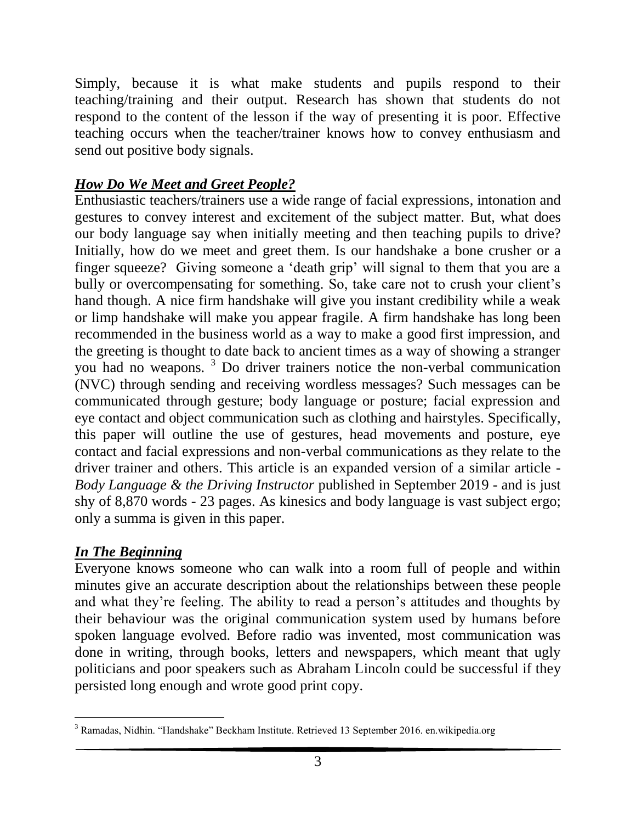Simply, because it is what make students and pupils respond to their teaching/training and their output. Research has shown that students do not respond to the content of the lesson if the way of presenting it is poor. Effective teaching occurs when the teacher/trainer knows how to convey enthusiasm and send out positive body signals.

# *How Do We Meet and Greet People?*

Enthusiastic teachers/trainers use a wide range of facial expressions, intonation and gestures to convey interest and excitement of the subject matter. But, what does our body language say when initially meeting and then teaching pupils to drive? Initially, how do we meet and greet them. Is our handshake a bone crusher or a finger squeeze? Giving someone a 'death grip' will signal to them that you are a bully or overcompensating for something. So, take care not to crush your client's hand though. A nice firm handshake will give you instant credibility while a weak or limp handshake will make you appear fragile. A firm handshake has long been recommended in the business world as a way to make a good first impression, and the greeting is thought to date back to ancient times as a way of showing a stranger you had no weapons. <sup>3</sup> Do driver trainers notice the non-verbal communication (NVC) through sending and receiving wordless messages? Such messages can be communicated through gesture; body language or posture; facial expression and eye contact and object communication such as clothing and hairstyles. Specifically, this paper will outline the use of gestures, head movements and posture, eye contact and facial expressions and non-verbal communications as they relate to the driver trainer and others. This article is an expanded version of a similar article - *Body Language & the Driving Instructor* published in September 2019 - and is just shy of 8,870 words - 23 pages. As kinesics and body language is vast subject ergo; only a summa is given in this paper.

# *In The Beginning*

Everyone knows someone who can walk into a room full of people and within minutes give an accurate description about the relationships between these people and what they're feeling. The ability to read a person's attitudes and thoughts by their behaviour was the original communication system used by humans before spoken language evolved. Before radio was invented, most communication was done in writing, through books, letters and newspapers, which meant that ugly politicians and poor speakers such as Abraham Lincoln could be successful if they persisted long enough and wrote good print copy.

 $\overline{a}$ <sup>3</sup> Ramadas, Nidhin. "Handshake" Beckham Institute. Retrieved 13 September 2016. en.wikipedia.org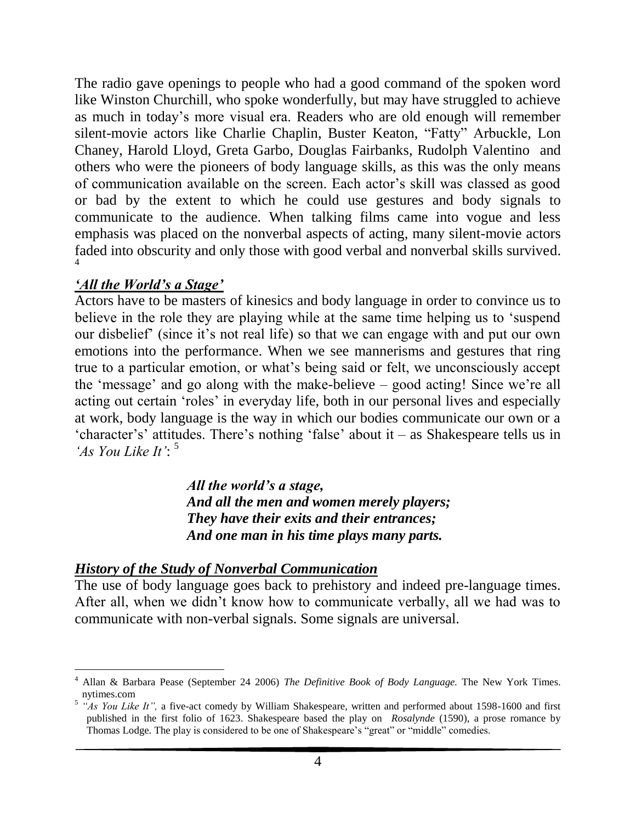The radio gave openings to people who had a good command of the spoken word like Winston Churchill, who spoke wonderfully, but may have struggled to achieve as much in today's more visual era. Readers who are old enough will remember silent-movie actors like Charlie Chaplin, Buster Keaton, "Fatty" Arbuckle, Lon Chaney, Harold Lloyd, Greta Garbo, Douglas Fairbanks, Rudolph Valentino and others who were the pioneers of body language skills, as this was the only means of communication available on the screen. Each actor's skill was classed as good or bad by the extent to which he could use gestures and body signals to communicate to the audience. When talking films came into vogue and less emphasis was placed on the nonverbal aspects of acting, many silent-movie actors faded into obscurity and only those with good verbal and nonverbal skills survived. 4

# *'All the World's a Stage'*

Actors have to be masters of kinesics and body language in order to convince us to believe in the role they are playing while at the same time helping us to 'suspend our disbelief' (since it's not real life) so that we can engage with and put our own emotions into the performance. When we see mannerisms and gestures that ring true to a particular emotion, or what's being said or felt, we unconsciously accept the 'message' and go along with the make-believe – good acting! Since we're all acting out certain 'roles' in everyday life, both in our personal lives and especially at work, body language is the way in which our bodies communicate our own or a 'character's' attitudes. There's nothing 'false' about it – as Shakespeare tells us in *'As You Like It'*: 5

> *All the world's a stage, And all the men and women merely players; They have their exits and their entrances; And one man in his time plays many parts.*

## *History of the Study of Nonverbal Communication*

The use of body language goes back to prehistory and indeed pre-language times. After all, when we didn't know how to communicate verbally, all we had was to communicate with non-verbal signals. Some signals are universal.

 $\overline{a}$ <sup>4</sup> Allan & Barbara Pease (September 24 2006) *The Definitive Book of Body Language.* The New York Times. nytimes.com

<sup>&</sup>lt;sup>5</sup> "As You Like It", a five-act comedy by William Shakespeare, written and performed about 1598-1600 and first published in the first folio of 1623. Shakespeare based the play on *Rosalynde* (1590), a prose romance by Thomas Lodge. The play is considered to be one of Shakespeare's "great" or "middle" comedies.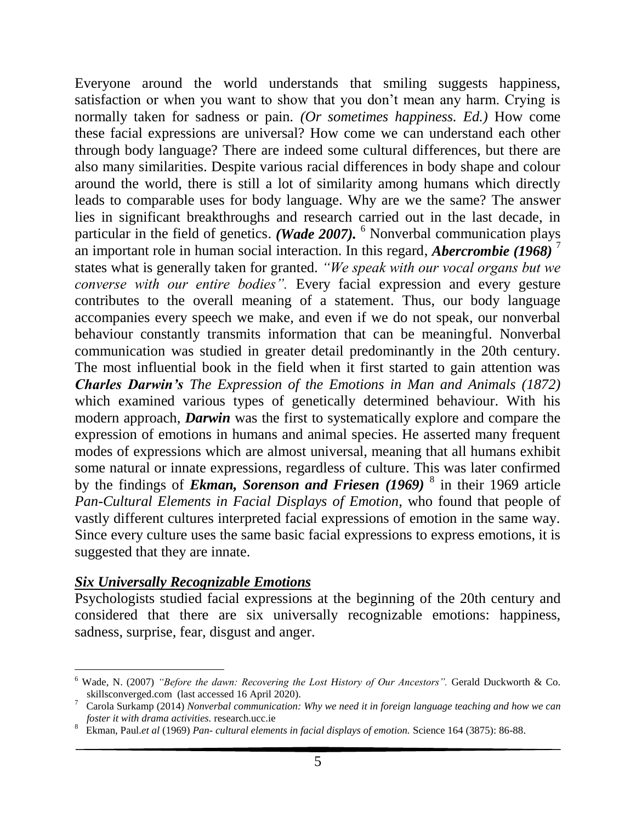Everyone around the world understands that smiling suggests happiness, satisfaction or when you want to show that you don't mean any harm. Crying is normally taken for sadness or pain*. (Or sometimes happiness. Ed.)* How come these facial expressions are universal? How come we can understand each other through body language? There are indeed some cultural differences, but there are also many similarities. Despite various racial differences in body shape and colour around the world, there is still a lot of similarity among humans which directly leads to comparable uses for body language. Why are we the same? The answer lies in significant breakthroughs and research carried out in the last decade, in particular in the field of genetics. *(Wade 2007)*. <sup>6</sup> Nonverbal communication plays an important role in human social interaction. In this regard, *Abercrombie (1968)* <sup>7</sup> states what is generally taken for granted*. "We speak with our vocal organs but we converse with our entire bodies".* Every facial expression and every gesture contributes to the overall meaning of a statement. Thus, our body language accompanies every speech we make, and even if we do not speak, our nonverbal behaviour constantly transmits information that can be meaningful. Nonverbal communication was studied in greater detail predominantly in the 20th century. The most influential book in the field when it first started to gain attention was *Charles Darwin's The Expression of the Emotions in Man and Animals (1872)* which examined various types of genetically determined behaviour. With his modern approach, *Darwin* was the first to systematically explore and compare the expression of emotions in humans and animal species. He asserted many frequent modes of expressions which are almost universal, meaning that all humans exhibit some natural or innate expressions, regardless of culture. This was later confirmed by the findings of *Ekman*, Sorenson and Friesen (1969)<sup>8</sup> in their 1969 article *Pan-Cultural Elements in Facial Displays of Emotion,* who found that people of vastly different cultures interpreted facial expressions of emotion in the same way. Since every culture uses the same basic facial expressions to express emotions, it is suggested that they are innate.

#### *Six Universally Recognizable Emotions*

 $\overline{a}$ 

Psychologists studied facial expressions at the beginning of the 20th century and considered that there are six universally recognizable emotions: happiness, sadness, surprise, fear, disgust and anger.

<sup>6</sup> Wade, N. (2007) *"Before the dawn: Recovering the Lost History of Our Ancestors".* Gerald Duckworth & Co. skillsconverged.com (last accessed 16 April 2020).

<sup>7</sup> Carola Surkamp (2014) *Nonverbal communication: Why we need it in foreign language teaching and how we can foster it with drama activities.* research.ucc.ie

<sup>8</sup> Ekman, Paul.*et al* (1969) *Pan- cultural elements in facial displays of emotion.* Science 164 (3875): 86-88.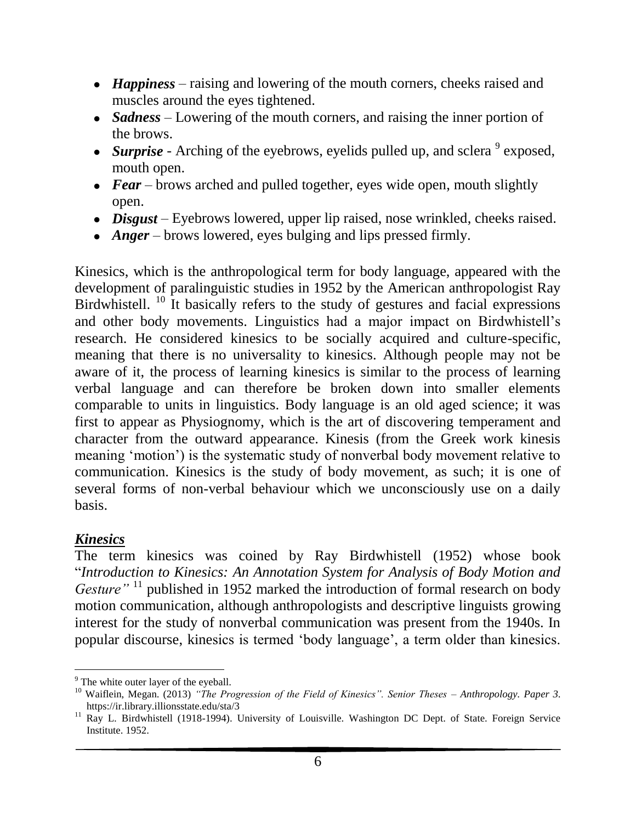- *Happiness* raising and lowering of the mouth corners, cheeks raised and muscles around the eyes tightened.
- *Sadness* Lowering of the mouth corners, and raising the inner portion of the brows.
- *Surprise* Arching of the eyebrows, eyelids pulled up, and sclera <sup>9</sup> exposed, mouth open.
- *Fear* brows arched and pulled together, eyes wide open, mouth slightly open.
- *Disgust* Eyebrows lowered, upper lip raised, nose wrinkled, cheeks raised.
- *Anger* brows lowered, eyes bulging and lips pressed firmly.

Kinesics, which is the anthropological term for body language, appeared with the development of paralinguistic studies in 1952 by the American anthropologist Ray Birdwhistell. <sup>10</sup> It basically refers to the study of gestures and facial expressions and other body movements. Linguistics had a major impact on Birdwhistell's research. He considered kinesics to be socially acquired and culture-specific, meaning that there is no universality to kinesics. Although people may not be aware of it, the process of learning kinesics is similar to the process of learning verbal language and can therefore be broken down into smaller elements comparable to units in linguistics. Body language is an old aged science; it was first to appear as Physiognomy, which is the art of discovering temperament and character from the outward appearance. Kinesis (from the Greek work kinesis meaning 'motion') is the systematic study of nonverbal body movement relative to communication. Kinesics is the study of body movement, as such; it is one of several forms of non-verbal behaviour which we unconsciously use on a daily basis.

# *Kinesics*

The term kinesics was coined by Ray Birdwhistell (1952) whose book "*Introduction to Kinesics: An Annotation System for Analysis of Body Motion and Gesture*"<sup>11</sup> published in 1952 marked the introduction of formal research on body motion communication, although anthropologists and descriptive linguists growing interest for the study of nonverbal communication was present from the 1940s. In popular discourse, kinesics is termed 'body language', a term older than kinesics.

 $\overline{a}$ <sup>9</sup> The white outer layer of the eyeball.

<sup>10</sup> Waiflein, Megan. (2013) *"The Progression of the Field of Kinesics". Senior Theses – Anthropology. Paper 3.*  https://ir.library.illionsstate.edu/sta/3

<sup>&</sup>lt;sup>11</sup> Ray L. Birdwhistell (1918-1994). University of Louisville. Washington DC Dept. of State. Foreign Service Institute. 1952.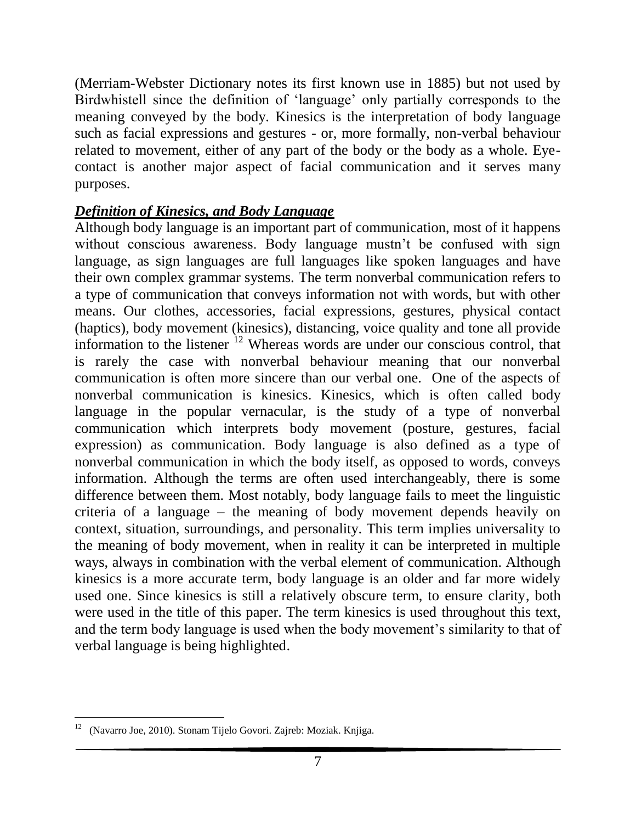(Merriam-Webster Dictionary notes its first known use in 1885) but not used by Birdwhistell since the definition of 'language' only partially corresponds to the meaning conveyed by the body. Kinesics is the interpretation of body language such as facial expressions and gestures - or, more formally, non-verbal behaviour related to movement, either of any part of the body or the body as a whole. Eyecontact is another major aspect of facial communication and it serves many purposes.

## *Definition of Kinesics, and Body Language*

Although body language is an important part of communication, most of it happens without conscious awareness. Body language mustn't be confused with sign language, as sign languages are full languages like spoken languages and have their own complex grammar systems. The term nonverbal communication refers to a type of communication that conveys information not with words, but with other means. Our clothes, accessories, facial expressions, gestures, physical contact (haptics), body movement (kinesics), distancing, voice quality and tone all provide information to the listener  $^{12}$  Whereas words are under our conscious control, that is rarely the case with nonverbal behaviour meaning that our nonverbal communication is often more sincere than our verbal one. One of the aspects of nonverbal communication is kinesics. Kinesics, which is often called body language in the popular vernacular, is the study of a type of nonverbal communication which interprets body movement (posture, gestures, facial expression) as communication. Body language is also defined as a type of nonverbal communication in which the body itself, as opposed to words, conveys information. Although the terms are often used interchangeably, there is some difference between them. Most notably, body language fails to meet the linguistic criteria of a language – the meaning of body movement depends heavily on context, situation, surroundings, and personality. This term implies universality to the meaning of body movement, when in reality it can be interpreted in multiple ways, always in combination with the verbal element of communication. Although kinesics is a more accurate term, body language is an older and far more widely used one. Since kinesics is still a relatively obscure term, to ensure clarity, both were used in the title of this paper. The term kinesics is used throughout this text, and the term body language is used when the body movement's similarity to that of verbal language is being highlighted.

 $\overline{a}$ <sup>12</sup> (Navarro Joe, 2010). Stonam Tijelo Govori. Zajreb: Moziak. Knjiga.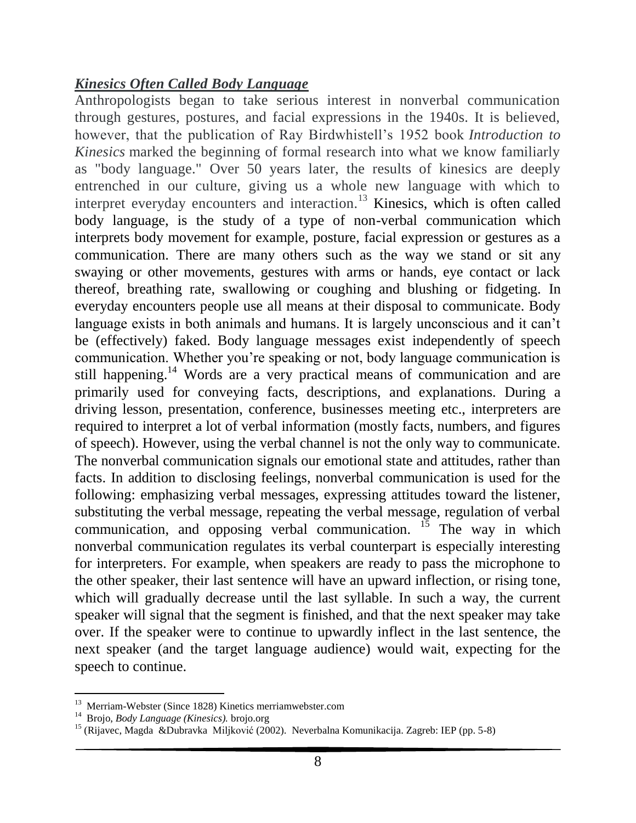# *Kinesics Often Called Body Language*

Anthropologists began to take serious interest in nonverbal communication through gestures, postures, and facial expressions in the 1940s. It is believed, however, that the publication of Ray Birdwhistell's 1952 book *Introduction to Kinesics* marked the beginning of formal research into what we know familiarly as "body language." Over 50 years later, the results of kinesics are deeply entrenched in our culture, giving us a whole new language with which to interpret everyday encounters and interaction.<sup>13</sup> Kinesics, which is often called body language, is the study of a type of non-verbal communication which interprets body movement for example, posture, facial expression or gestures as a communication. There are many others such as the way we stand or sit any swaying or other movements, gestures with arms or hands, eye contact or lack thereof, breathing rate, swallowing or coughing and blushing or fidgeting. In everyday encounters people use all means at their disposal to communicate. Body language exists in both animals and humans. It is largely unconscious and it can't be (effectively) faked. Body language messages exist independently of speech communication. Whether you're speaking or not, body language communication is still happening.<sup>14</sup> Words are a very practical means of communication and are primarily used for conveying facts, descriptions, and explanations. During a driving lesson, presentation, conference, businesses meeting etc., interpreters are required to interpret a lot of verbal information (mostly facts, numbers, and figures of speech). However, using the verbal channel is not the only way to communicate. The nonverbal communication signals our emotional state and attitudes, rather than facts. In addition to disclosing feelings, nonverbal communication is used for the following: emphasizing verbal messages, expressing attitudes toward the listener, substituting the verbal message, repeating the verbal message, regulation of verbal communication, and opposing verbal communication. <sup>15</sup> The way in which nonverbal communication regulates its verbal counterpart is especially interesting for interpreters. For example, when speakers are ready to pass the microphone to the other speaker, their last sentence will have an upward inflection, or rising tone, which will gradually decrease until the last syllable. In such a way, the current speaker will signal that the segment is finished, and that the next speaker may take over. If the speaker were to continue to upwardly inflect in the last sentence, the next speaker (and the target language audience) would wait, expecting for the speech to continue.

l <sup>13</sup> Merriam-Webster (Since 1828) Kinetics merriamwebster.com

<sup>14</sup> Brojo, *Body Language (Kinesics).* brojo.org

<sup>15</sup> (Rijavec, Magda &Dubravka Miljković (2002). Neverbalna Komunikacija. Zagreb: IEP (pp. 5-8)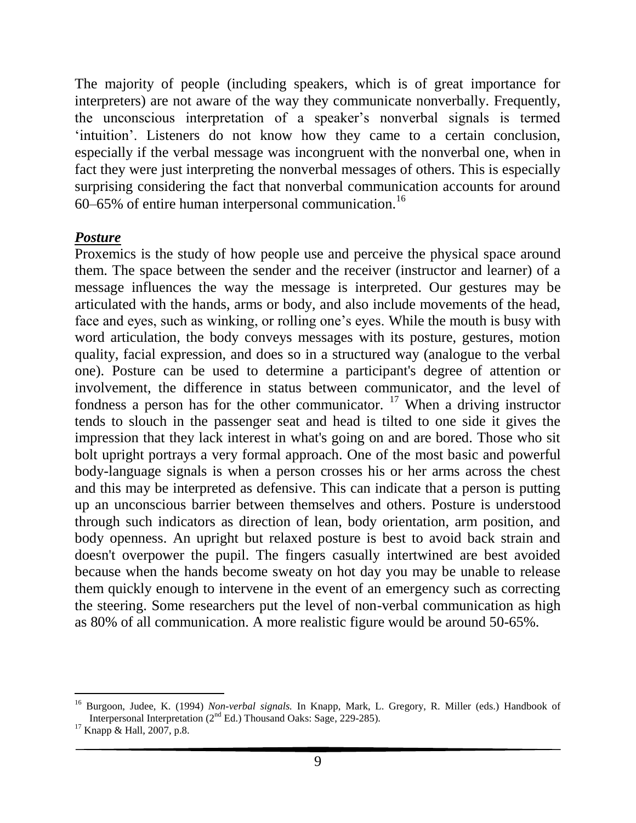The majority of people (including speakers, which is of great importance for interpreters) are not aware of the way they communicate nonverbally. Frequently, the unconscious interpretation of a speaker's nonverbal signals is termed 'intuition'. Listeners do not know how they came to a certain conclusion, especially if the verbal message was incongruent with the nonverbal one, when in fact they were just interpreting the nonverbal messages of others. This is especially surprising considering the fact that nonverbal communication accounts for around  $60-65%$  of entire human interpersonal communication.<sup>16</sup>

#### *Posture*

Proxemics is the study of how people use and perceive the physical space around them. The space between the sender and the receiver (instructor and learner) of a message influences the way the message is interpreted. Our gestures may be articulated with the hands, arms or body, and also include movements of the head, face and eyes, such as winking, or rolling one's eyes. While the mouth is busy with word articulation, the body conveys messages with its posture, gestures, motion quality, facial expression, and does so in a structured way (analogue to the verbal one). Posture can be used to determine a participant's degree of attention or involvement, the difference in status between communicator, and the level of fondness a person has for the other communicator.  $17$  When a driving instructor tends to slouch in the passenger seat and head is tilted to one side it gives the impression that they lack interest in what's going on and are bored. Those who sit bolt upright portrays a very formal approach. One of the most basic and powerful body-language signals is when a person crosses his or her arms across the chest and this may be interpreted as defensive. This can indicate that a person is putting up an unconscious barrier between themselves and others. Posture is understood through such indicators as direction of lean, body orientation, arm position, and body openness. An upright but relaxed posture is best to avoid back strain and doesn't overpower the pupil. The fingers casually intertwined are best avoided because when the hands become sweaty on hot day you may be unable to release them quickly enough to intervene in the event of an emergency such as correcting the steering. Some researchers put the level of non-verbal communication as high as 80% of all communication. A more realistic figure would be around 50-65%.

l

<sup>16</sup> Burgoon, Judee, K. (1994) *Non-verbal signals.* In Knapp, Mark, L. Gregory, R. Miller (eds.) Handbook of Interpersonal Interpretation (2<sup>nd</sup> Ed.) Thousand Oaks: Sage, 229-285).

 $17$  Knapp & Hall, 2007, p.8.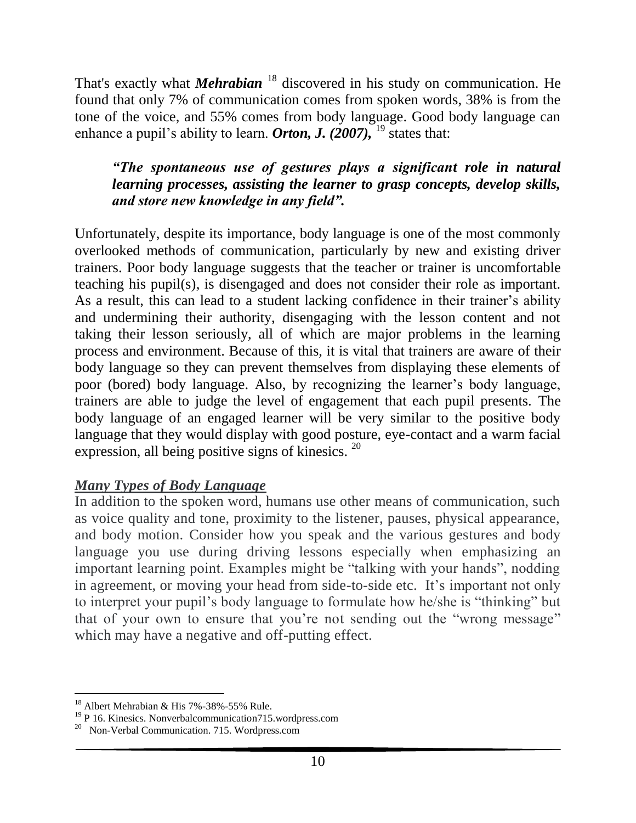That's exactly what *Mehrabian* <sup>18</sup> discovered in his study on communication. He found that only 7% of communication comes from spoken words, 38% is from the tone of the voice, and 55% comes from body language. Good body language can enhance a pupil's ability to learn. *Orton, J.* (2007), <sup>19</sup> states that:

# *"The spontaneous use of gestures plays a significant role in natural learning processes, assisting the learner to grasp concepts, develop skills, and store new knowledge in any field".*

Unfortunately, despite its importance, body language is one of the most commonly overlooked methods of communication, particularly by new and existing driver trainers. Poor body language suggests that the teacher or trainer is uncomfortable teaching his pupil(s), is disengaged and does not consider their role as important. As a result, this can lead to a student lacking confidence in their trainer's ability and undermining their authority, disengaging with the lesson content and not taking their lesson seriously, all of which are major problems in the learning process and environment. Because of this, it is vital that trainers are aware of their body language so they can prevent themselves from displaying these elements of poor (bored) body language. Also, by recognizing the learner's body language, trainers are able to judge the level of engagement that each pupil presents. The body language of an engaged learner will be very similar to the positive body language that they would display with good posture, eye-contact and a warm facial expression, all being positive signs of kinesics.  $20$ 

# *Many Types of Body Language*

In addition to the spoken word, humans use other means of communication, such as voice quality and tone, proximity to the listener, pauses, physical appearance, and body motion. Consider how you speak and the various gestures and body language you use during driving lessons especially when emphasizing an important learning point. Examples might be "talking with your hands", nodding in agreement, or moving your head from side-to-side etc. It's important not only to interpret your pupil's body language to formulate how he/she is "thinking" but that of your own to ensure that you're not sending out the "wrong message" which may have a negative and off-putting effect.

l <sup>18</sup> Albert Mehrabian & His 7%-38%-55% Rule.

<sup>&</sup>lt;sup>19</sup> P 16. Kinesics. Nonverbalcommunication715.wordpress.com

<sup>&</sup>lt;sup>20</sup> Non-Verbal Communication. 715. Wordpress.com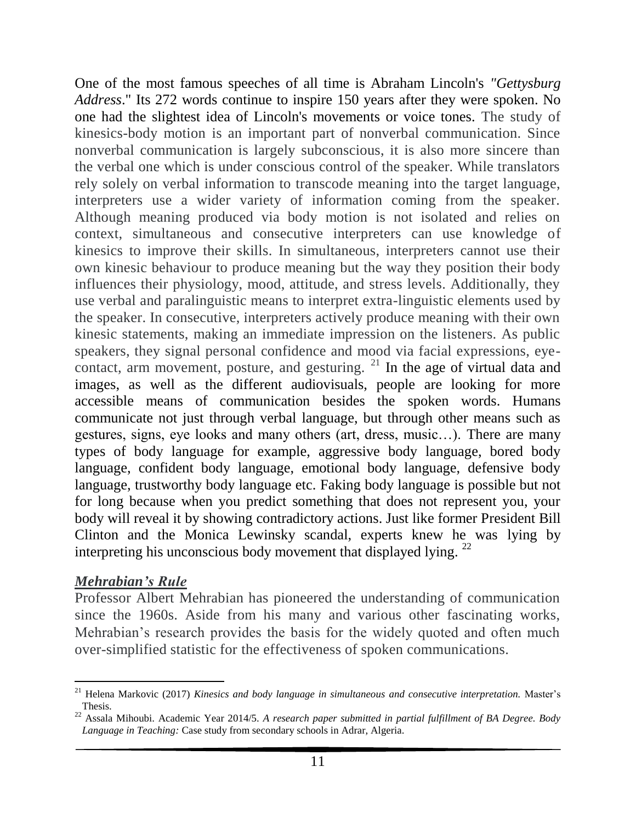One of the most famous speeches of all time is Abraham Lincoln's *"Gettysburg Address*." Its 272 words continue to inspire 150 years after they were spoken. No one had the slightest idea of Lincoln's movements or voice tones. The study of kinesics-body motion is an important part of nonverbal communication. Since nonverbal communication is largely subconscious, it is also more sincere than the verbal one which is under conscious control of the speaker. While translators rely solely on verbal information to transcode meaning into the target language, interpreters use a wider variety of information coming from the speaker. Although meaning produced via body motion is not isolated and relies on context, simultaneous and consecutive interpreters can use knowledge of kinesics to improve their skills. In simultaneous, interpreters cannot use their own kinesic behaviour to produce meaning but the way they position their body influences their physiology, mood, attitude, and stress levels. Additionally, they use verbal and paralinguistic means to interpret extra-linguistic elements used by the speaker. In consecutive, interpreters actively produce meaning with their own kinesic statements, making an immediate impression on the listeners. As public speakers, they signal personal confidence and mood via facial expressions, eyecontact, arm movement, posture, and gesturing.  $21$  In the age of virtual data and images, as well as the different audiovisuals, people are looking for more accessible means of communication besides the spoken words. Humans communicate not just through verbal language, but through other means such as gestures, signs, eye looks and many others (art, dress, music…). There are many types of body language for example, aggressive body language, bored body language, confident body language, emotional body language, defensive body language, trustworthy body language etc. Faking body language is possible but not for long because when you predict something that does not represent you, your body will reveal it by showing contradictory actions. Just like former President Bill Clinton and the Monica Lewinsky scandal, experts knew he was lying by interpreting his unconscious body movement that displayed lying. <sup>22</sup>

#### *Mehrabian's Rule*

Professor Albert Mehrabian has pioneered the understanding of communication since the 1960s. Aside from his many and various other fascinating works, Mehrabian's research provides the basis for the widely quoted and often much over-simplified statistic for the effectiveness of spoken communications.

 $\overline{a}$ <sup>21</sup> Helena Markovic (2017) *Kinesics and body language in simultaneous and consecutive interpretation.* Master's Thesis.

<sup>22</sup> Assala Mihoubi. Academic Year 2014/5. *A research paper submitted in partial fulfillment of BA Degree. Body Language in Teaching:* Case study from secondary schools in Adrar, Algeria.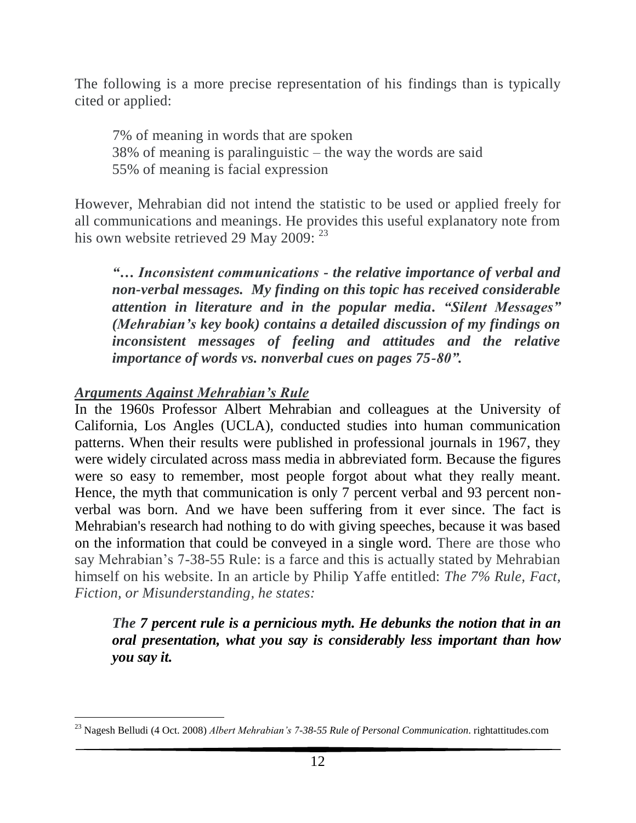The following is a more precise representation of his findings than is typically cited or applied:

 7% of meaning in words that are spoken 38% of meaning is paralinguistic – the way the words are said 55% of meaning is facial expression

However, Mehrabian did not intend the statistic to be used or applied freely for all communications and meanings. He provides this useful explanatory note from his own website retrieved 29 May 2009: <sup>23</sup>

*"… Inconsistent communications - the relative importance of verbal and non-verbal messages. My finding on this topic has received considerable attention in literature and in the popular media. "Silent Messages" (Mehrabian's key book) contains a detailed discussion of my findings on inconsistent messages of feeling and attitudes and the relative importance of words vs. nonverbal cues on pages 75-80".*

## *Arguments Against Mehrabian's Rule*

In the 1960s Professor Albert Mehrabian and colleagues at the University of California, Los Angles (UCLA), conducted studies into human communication patterns. When their results were published in professional journals in 1967, they were widely circulated across mass media in abbreviated form. Because the figures were so easy to remember, most people forgot about what they really meant. Hence, the myth that communication is only 7 percent verbal and 93 percent nonverbal was born. And we have been suffering from it ever since. The fact is Mehrabian's research had nothing to do with giving speeches, because it was based on the information that could be conveyed in a single word. There are those who say Mehrabian's 7-38-55 Rule: is a farce and this is actually stated by Mehrabian himself on his website. In an article by Philip Yaffe entitled: *The 7% Rule, Fact, Fiction, or Misunderstanding, he states:*

*The 7 percent rule is a pernicious myth. He debunks the notion that in an oral presentation, what you say is considerably less important than how you say it.*

 $\overline{a}$ <sup>23</sup> Nagesh Belludi (4 Oct. 2008) *Albert Mehrabian's 7-38-55 Rule of Personal Communication*. rightattitudes.com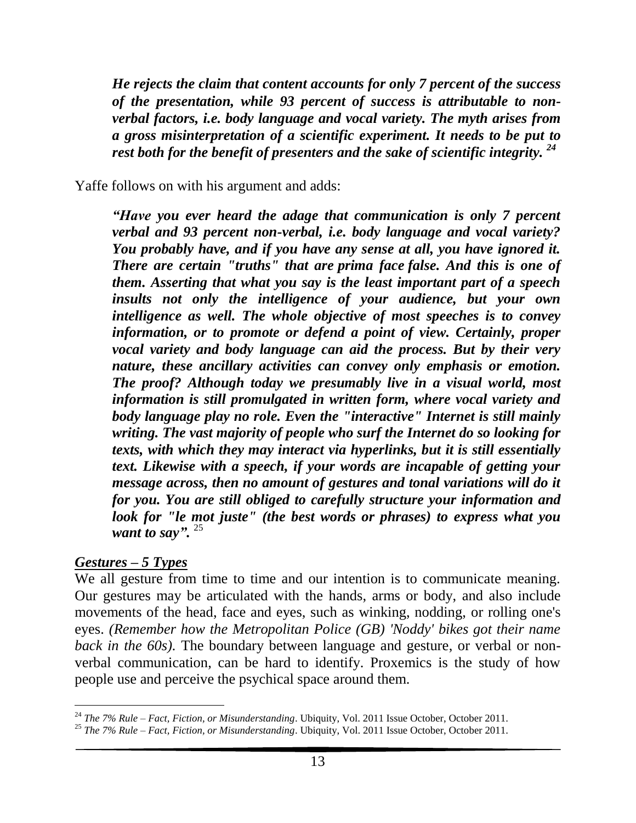*He rejects the claim that content accounts for only 7 percent of the success of the presentation, while 93 percent of success is attributable to nonverbal factors, i.e. body language and vocal variety. The myth arises from a gross misinterpretation of a scientific experiment. It needs to be put to rest both for the benefit of presenters and the sake of scientific integrity. <sup>24</sup>*

Yaffe follows on with his argument and adds:

*"Have you ever heard the adage that communication is only 7 percent verbal and 93 percent non-verbal, i.e. body language and vocal variety? You probably have, and if you have any sense at all, you have ignored it. There are certain "truths" that are prima face false. And this is one of them. Asserting that what you say is the least important part of a speech insults not only the intelligence of your audience, but your own intelligence as well. The whole objective of most speeches is to convey information, or to promote or defend a point of view. Certainly, proper vocal variety and body language can aid the process. But by their very nature, these ancillary activities can convey only emphasis or emotion. The proof? Although today we presumably live in a visual world, most information is still promulgated in written form, where vocal variety and body language play no role. Even the "interactive" Internet is still mainly writing. The vast majority of people who surf the Internet do so looking for texts, with which they may interact via hyperlinks, but it is still essentially text. Likewise with a speech, if your words are incapable of getting your message across, then no amount of gestures and tonal variations will do it for you. You are still obliged to carefully structure your information and look for "le mot juste" (the best words or phrases) to express what you*  want to say".<sup>25</sup>

#### *Gestures – 5 Types*

We all gesture from time to time and our intention is to communicate meaning. Our gestures may be articulated with the hands, arms or body, and also include movements of the head, face and eyes, such as winking, nodding, or rolling one's eyes. *(Remember how the Metropolitan Police (GB) 'Noddy' bikes got their name back in the 60s).* The boundary between language and gesture, or verbal or nonverbal communication, can be hard to identify. Proxemics is the study of how people use and perceive the psychical space around them.

l <sup>24</sup> *The 7% Rule – Fact, Fiction, or Misunderstanding*. Ubiquity, Vol. 2011 Issue October, October 2011.

<sup>25</sup> *The 7% Rule – Fact, Fiction, or Misunderstanding*. Ubiquity, Vol. 2011 Issue October, October 2011.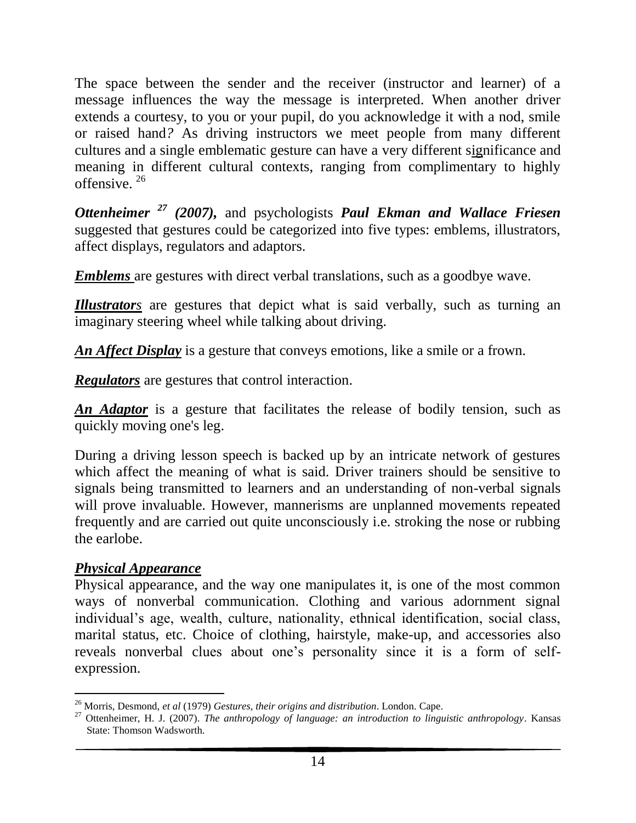The space between the sender and the receiver (instructor and learner) of a message influences the way the message is interpreted. When another driver extends a courtesy, to you or your pupil, do you acknowledge it with a nod, smile or raised hand*?* As driving instructors we meet people from many different cultures and a single emblematic gesture can have a very different significance and meaning in different cultural contexts, ranging from complimentary to highly offensive. <sup>26</sup>

*Ottenheimer <sup>27</sup> (2007),* and psychologists *Paul Ekman and Wallace Friesen* suggested that gestures could be categorized into five types: emblems, illustrators, affect displays, regulators and adaptors.

*Emblems* are gestures with direct verbal translations, such as a goodbye wave.

*Illustrators* are gestures that depict what is said verbally, such as turning an imaginary steering wheel while talking about driving.

*An Affect Display* is a gesture that conveys emotions, like a smile or a frown.

*Regulators* are gestures that control interaction.

*An Adaptor* is a gesture that facilitates the release of bodily tension, such as quickly moving one's leg.

During a driving lesson speech is backed up by an intricate network of gestures which affect the meaning of what is said. Driver trainers should be sensitive to signals being transmitted to learners and an understanding of non-verbal signals will prove invaluable. However, mannerisms are unplanned movements repeated frequently and are carried out quite unconsciously i.e. stroking the nose or rubbing the earlobe.

## *Physical Appearance*

l

Physical appearance, and the way one manipulates it, is one of the most common ways of nonverbal communication. Clothing and various adornment signal individual's age, wealth, culture, nationality, ethnical identification, social class, marital status, etc. Choice of clothing, hairstyle, make-up, and accessories also reveals nonverbal clues about one's personality since it is a form of selfexpression.

<sup>26</sup> Morris, Desmond, *et al* (1979) *Gestures, their origins and distribution*. London. Cape.

<sup>27</sup> Ottenheimer, H. J. (2007). *The anthropology of language: an introduction to linguistic anthropology*. Kansas State: Thomson Wadsworth.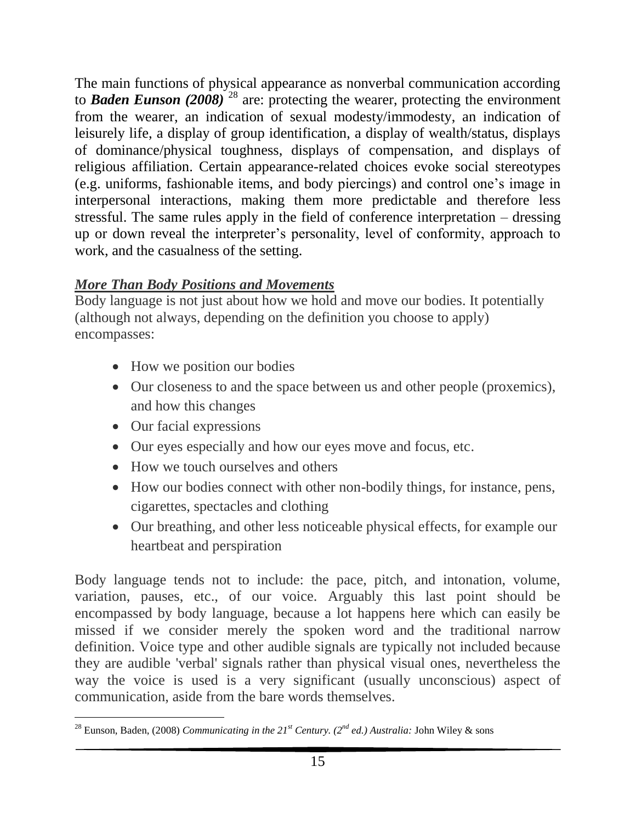The main functions of physical appearance as nonverbal communication according to **Baden Eunson** (2008)<sup>28</sup> are: protecting the wearer, protecting the environment from the wearer, an indication of sexual modesty/immodesty, an indication of leisurely life, a display of group identification, a display of wealth/status, displays of dominance/physical toughness, displays of compensation, and displays of religious affiliation. Certain appearance-related choices evoke social stereotypes (e.g. uniforms, fashionable items, and body piercings) and control one's image in interpersonal interactions, making them more predictable and therefore less stressful. The same rules apply in the field of conference interpretation – dressing up or down reveal the interpreter's personality, level of conformity, approach to work, and the casualness of the setting.

# *More Than Body Positions and Movements*

Body language is not just about how we hold and move our bodies. It potentially (although not always, depending on the definition you choose to apply) encompasses:

- How we position our bodies
- Our closeness to and the space between us and other people (proxemics), and how this changes
- Our facial expressions
- Our eyes especially and how our eyes move and focus, etc.
- How we touch ourselves and others
- How our bodies connect with other non-bodily things, for instance, pens, cigarettes, spectacles and clothing
- Our breathing, and other less noticeable physical effects, for example our heartbeat and perspiration

Body language tends not to include: the pace, pitch, and intonation, volume, variation, pauses, etc., of our voice. Arguably this last point should be encompassed by body language, because a lot happens here which can easily be missed if we consider merely the spoken word and the traditional narrow definition. Voice type and other audible signals are typically not included because they are audible 'verbal' signals rather than physical visual ones, nevertheless the way the voice is used is a very significant (usually unconscious) aspect of communication, aside from the bare words themselves.

 $\overline{a}$ <sup>28</sup> Eunson, Baden, (2008) *Communicating in the 21st Century. (2nd ed.) Australia:* John Wiley & sons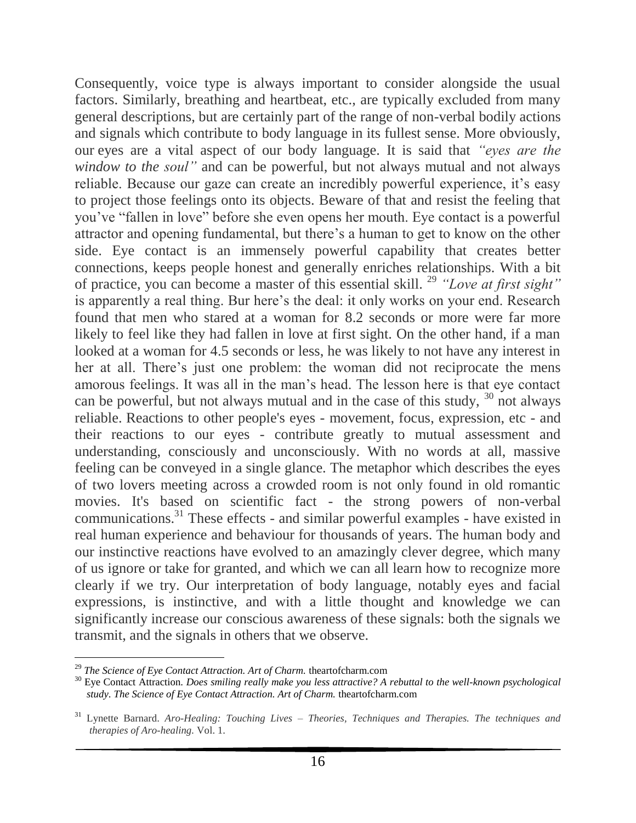Consequently, voice type is always important to consider alongside the usual factors. Similarly, breathing and heartbeat, etc., are typically excluded from many general descriptions, but are certainly part of the range of non-verbal bodily actions and signals which contribute to body language in its fullest sense. More obviously, our eyes are a vital aspect of our body language. It is said that *"eyes are the window to the soul"* and can be powerful, but not always mutual and not always reliable. Because our gaze can create an incredibly powerful experience, it's easy to project those feelings onto its objects. Beware of that and resist the feeling that you've "fallen in love" before she even opens her mouth. Eye contact is a powerful attractor and opening fundamental, but there's a human to get to know on the other side. Eye contact is an immensely powerful capability that creates better connections, keeps people honest and generally enriches relationships. With a bit of practice, you can become a master of this essential skill. <sup>29</sup> *"Love at first sight"* is apparently a real thing. Bur here's the deal: it only works on your end. Research found that men who stared at a woman for 8.2 seconds or more were far more likely to feel like they had fallen in love at first sight. On the other hand, if a man looked at a woman for 4.5 seconds or less, he was likely to not have any interest in her at all. There's just one problem: the woman did not reciprocate the mens amorous feelings. It was all in the man's head. The lesson here is that eye contact can be powerful, but not always mutual and in the case of this study,  $30^{\circ}$  not always reliable. Reactions to other people's eyes - movement, focus, expression, etc - and their reactions to our eyes - contribute greatly to mutual assessment and understanding, consciously and unconsciously. With no words at all, massive feeling can be conveyed in a single glance. The metaphor which describes the eyes of two lovers meeting across a crowded room is not only found in old romantic movies. It's based on scientific fact - the strong powers of non-verbal communications.<sup>31</sup> These effects - and similar powerful examples - have existed in real human experience and behaviour for thousands of years. The human body and our instinctive reactions have evolved to an amazingly clever degree, which many of us ignore or take for granted, and which we can all learn how to recognize more clearly if we try. Our interpretation of body language, notably eyes and facial expressions, is instinctive, and with a little thought and knowledge we can significantly increase our conscious awareness of these signals: both the signals we transmit, and the signals in others that we observe.

l

<sup>29</sup> *The Science of Eye Contact Attraction. Art of Charm.* theartofcharm.com

<sup>30</sup> Eye Contact Attraction. *Does smiling really make you less attractive? A rebuttal to the well-known psychological study*. *The Science of Eye Contact Attraction. Art of Charm.* theartofcharm.com

<sup>31</sup> Lynette Barnard. *Aro-Healing: Touching Lives – Theories, Techniques and Therapies. The techniques and therapies of Aro-healing.* Vol. 1.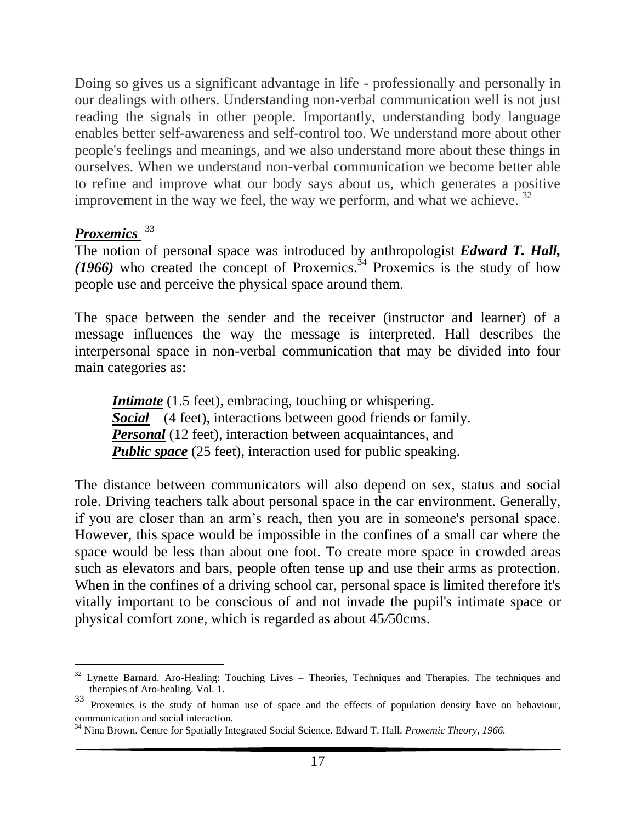Doing so gives us a significant advantage in life - professionally and personally in our dealings with others. Understanding non-verbal communication well is not just reading the signals in other people. Importantly, understanding body language enables better self-awareness and self-control too. We understand more about other people's feelings and meanings, and we also understand more about these things in ourselves. When we understand non-verbal communication we become better able to refine and improve what our body says about us, which generates a positive improvement in the way we feel, the way we perform, and what we achieve.  $32$ 

# *Proxemics* <sup>33</sup>

The notion of personal space was introduced by anthropologist *Edward T. Hall,*  (1966) who created the concept of Proxemics.<sup>34</sup> Proxemics is the study of how people use and perceive the physical space around them.

The space between the sender and the receiver (instructor and learner) of a message influences the way the message is interpreted. Hall describes the interpersonal space in non-verbal communication that may be divided into four main categories as:

*Intimate* (1.5 feet), embracing, touching or whispering. *Social* (4 feet), interactions between good friends or family. *Personal* (12 feet), interaction between acquaintances, and *Public space* (25 feet), interaction used for public speaking.

The distance between communicators will also depend on sex, status and social role. Driving teachers talk about personal space in the car environment. Generally, if you are closer than an arm's reach, then you are in someone's personal space. However, this space would be impossible in the confines of a small car where the space would be less than about one foot. To create more space in crowded areas such as elevators and bars, people often tense up and use their arms as protection. When in the confines of a driving school car, personal space is limited therefore it's vitally important to be conscious of and not invade the pupil's intimate space or physical comfort zone, which is regarded as about 45*/*50cms.

 $\overline{a}$  $32$  Lynette Barnard. Aro-Healing: Touching Lives – Theories, Techniques and Therapies. The techniques and therapies of Aro-healing. Vol. 1.

<sup>&</sup>lt;sup>33</sup> Proxemics is the study of human use of space and the effects of population density have on behaviour, communication and social interaction.

<sup>34</sup> Nina Brown. Centre for Spatially Integrated Social Science. Edward T. Hall. *Proxemic Theory, 1966.*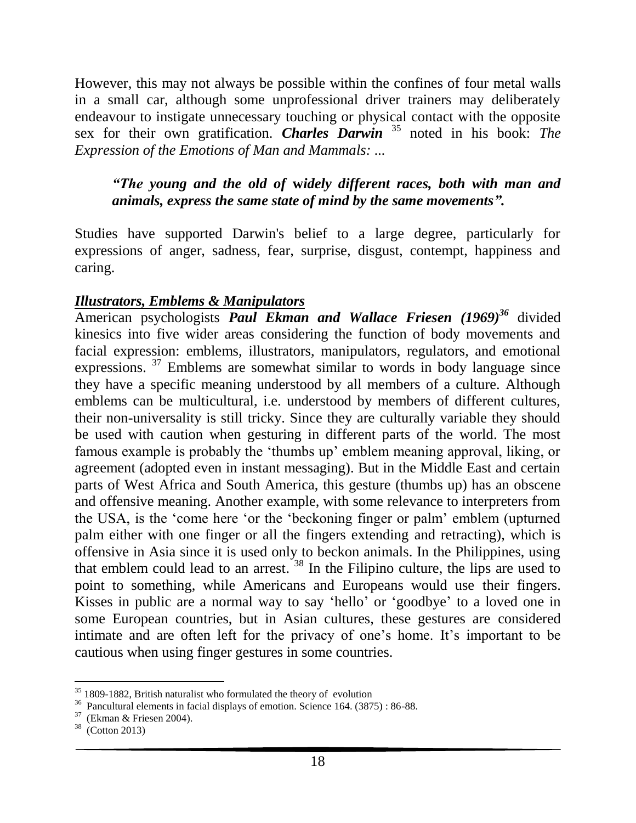However, this may not always be possible within the confines of four metal walls in a small car, although some unprofessional driver trainers may deliberately endeavour to instigate unnecessary touching or physical contact with the opposite sex for their own gratification. *Charles Darwin* <sup>35</sup> noted in his book: *The Expression of the Emotions of Man and Mammals: ...* 

*"The young and the old of* **w***idely different races, both with man and animals, express the same state of mind by the same movements".*

Studies have supported Darwin's belief to a large degree, particularly for expressions of anger, sadness, fear, surprise, disgust, contempt, happiness and caring.

## *Illustrators, Emblems & Manipulators*

American psychologists *Paul Ekman and Wallace Friesen (1969)<sup>36</sup>* divided kinesics into five wider areas considering the function of body movements and facial expression: emblems, illustrators, manipulators, regulators, and emotional expressions.<sup>37</sup> Emblems are somewhat similar to words in body language since they have a specific meaning understood by all members of a culture. Although emblems can be multicultural, i.e. understood by members of different cultures, their non-universality is still tricky. Since they are culturally variable they should be used with caution when gesturing in different parts of the world. The most famous example is probably the 'thumbs up' emblem meaning approval, liking, or agreement (adopted even in instant messaging). But in the Middle East and certain parts of West Africa and South America, this gesture (thumbs up) has an obscene and offensive meaning. Another example, with some relevance to interpreters from the USA, is the 'come here 'or the 'beckoning finger or palm' emblem (upturned palm either with one finger or all the fingers extending and retracting), which is offensive in Asia since it is used only to beckon animals. In the Philippines, using that emblem could lead to an arrest.<sup>38</sup> In the Filipino culture, the lips are used to point to something, while Americans and Europeans would use their fingers. Kisses in public are a normal way to say 'hello' or 'goodbye' to a loved one in some European countries, but in Asian cultures, these gestures are considered intimate and are often left for the privacy of one's home. It's important to be cautious when using finger gestures in some countries.

 $\overline{a}$  $35$  1809-1882, British naturalist who formulated the theory of evolution

<sup>&</sup>lt;sup>36</sup> Pancultural elements in facial displays of emotion. Science 164. (3875): 86-88.

 $37$  (Ekman & Friesen 2004).

<sup>38</sup> (Cotton 2013)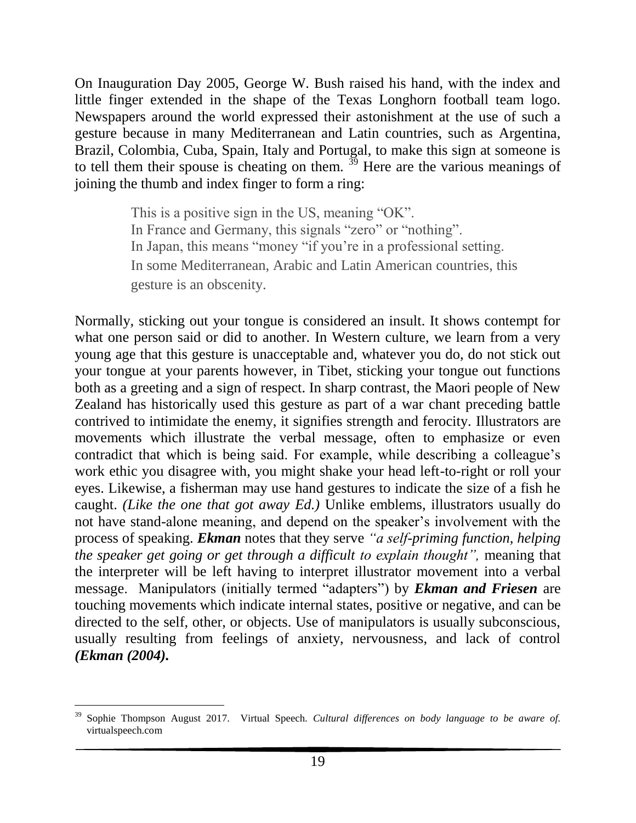On Inauguration Day 2005, George W. Bush raised his hand, with the index and little finger extended in the shape of the Texas Longhorn football team logo. Newspapers around the world expressed their astonishment at the use of such a gesture because in many Mediterranean and Latin countries, such as Argentina, Brazil, Colombia, Cuba, Spain, Italy and Portugal, to make this sign at someone is to tell them their spouse is cheating on them.  $39$  Here are the various meanings of joining the thumb and index finger to form a ring:

> This is a positive sign in the US, meaning "OK". In France and Germany, this signals "zero" or "nothing". In Japan, this means "money "if you're in a professional setting. In some Mediterranean, Arabic and Latin American countries, this gesture is an obscenity.

Normally, sticking out your tongue is considered an insult. It shows contempt for what one person said or did to another. In Western culture, we learn from a very young age that this gesture is unacceptable and, whatever you do, do not stick out your tongue at your parents however, in Tibet, sticking your tongue out functions both as a greeting and a sign of respect. In sharp contrast, the Maori people of New Zealand has historically used this gesture as part of a war chant preceding battle contrived to intimidate the enemy, it signifies strength and ferocity. Illustrators are movements which illustrate the verbal message, often to emphasize or even contradict that which is being said. For example, while describing a colleague's work ethic you disagree with, you might shake your head left-to-right or roll your eyes. Likewise, a fisherman may use hand gestures to indicate the size of a fish he caught. *(Like the one that got away Ed.)* Unlike emblems, illustrators usually do not have stand-alone meaning, and depend on the speaker's involvement with the process of speaking. *Ekman* notes that they serve *"a self-priming function, helping the speaker get going or get through a difficult to explain thought",* meaning that the interpreter will be left having to interpret illustrator movement into a verbal message. Manipulators (initially termed "adapters") by *Ekman and Friesen* are touching movements which indicate internal states, positive or negative, and can be directed to the self, other, or objects. Use of manipulators is usually subconscious, usually resulting from feelings of anxiety, nervousness, and lack of control *(Ekman (2004).*

l <sup>39</sup> Sophie Thompson August 2017. Virtual Speech. *Cultural differences on body language to be aware of.*  virtualspeech.com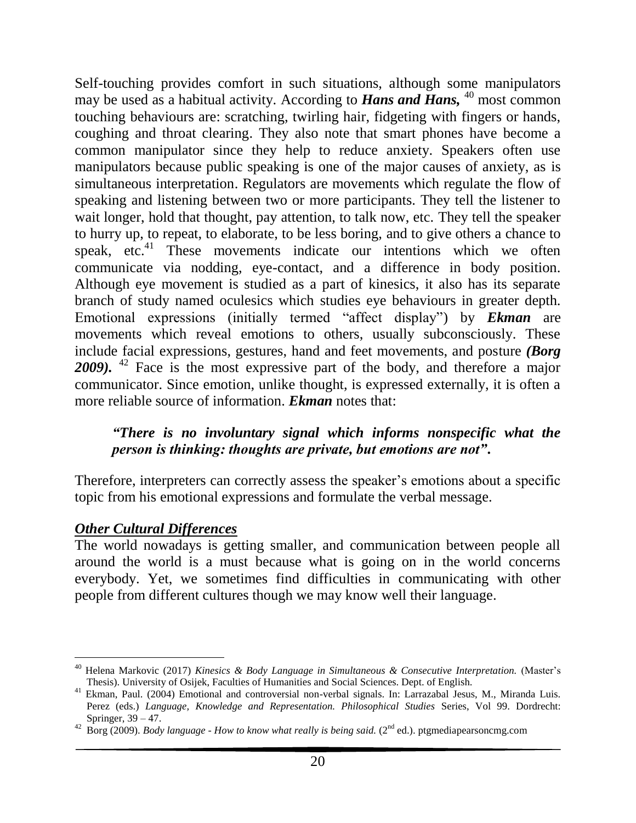Self-touching provides comfort in such situations, although some manipulators may be used as a habitual activity. According to *Hans and Hans,* <sup>40</sup> most common touching behaviours are: scratching, twirling hair, fidgeting with fingers or hands, coughing and throat clearing. They also note that smart phones have become a common manipulator since they help to reduce anxiety. Speakers often use manipulators because public speaking is one of the major causes of anxiety, as is simultaneous interpretation. Regulators are movements which regulate the flow of speaking and listening between two or more participants. They tell the listener to wait longer, hold that thought, pay attention, to talk now, etc. They tell the speaker to hurry up, to repeat, to elaborate, to be less boring, and to give others a chance to speak,  $etc.<sup>41</sup>$  These movements indicate our intentions which we often communicate via nodding, eye-contact, and a difference in body position. Although eye movement is studied as a part of kinesics, it also has its separate branch of study named oculesics which studies eye behaviours in greater depth. Emotional expressions (initially termed "affect display") by *Ekman* are movements which reveal emotions to others, usually subconsciously. These include facial expressions, gestures, hand and feet movements, and posture *(Borg 2009).* <sup>42</sup> Face is the most expressive part of the body, and therefore a major communicator. Since emotion, unlike thought, is expressed externally, it is often a more reliable source of information. *Ekman* notes that:

## *"There is no involuntary signal which informs nonspecific what the person is thinking: thoughts are private, but emotions are not"***.**

Therefore, interpreters can correctly assess the speaker's emotions about a specific topic from his emotional expressions and formulate the verbal message.

#### *Other Cultural Differences*

l

The world nowadays is getting smaller, and communication between people all around the world is a must because what is going on in the world concerns everybody. Yet, we sometimes find difficulties in communicating with other people from different cultures though we may know well their language.

<sup>40</sup> Helena Markovic (2017) *Kinesics & Body Language in Simultaneous & Consecutive Interpretation.* (Master's Thesis). University of Osijek, Faculties of Humanities and Social Sciences. Dept. of English.

<sup>&</sup>lt;sup>41</sup> Ekman, Paul. (2004) Emotional and controversial non-verbal signals. In: Larrazabal Jesus, M., Miranda Luis. Perez (eds.) *Language, Knowledge and Representation. Philosophical Studies* Series, Vol 99. Dordrecht:

Springer, 39 – 47. 42 Borg (2009). *Body language - How to know what really is being said.* (2nd ed.). ptgmediapearsoncmg.com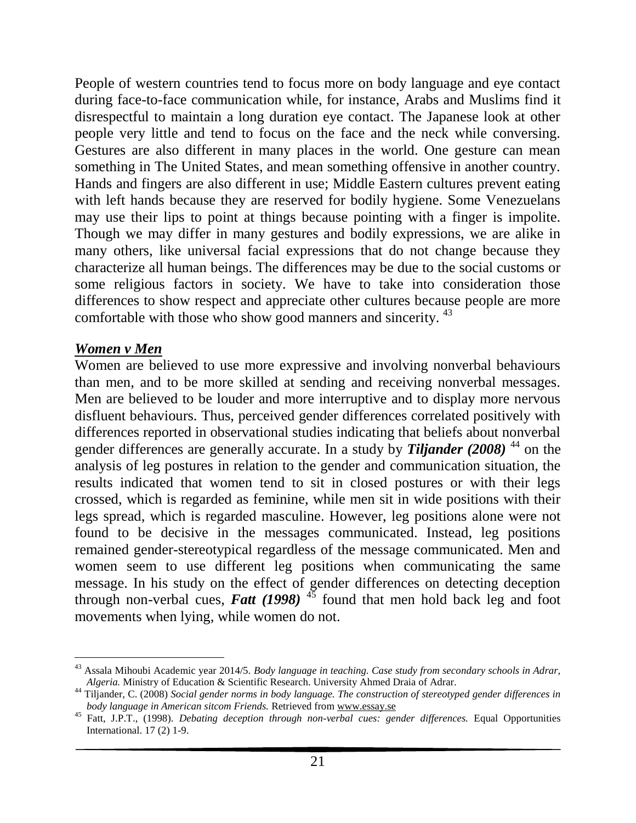People of western countries tend to focus more on body language and eye contact during face-to-face communication while, for instance, Arabs and Muslims find it disrespectful to maintain a long duration eye contact. The Japanese look at other people very little and tend to focus on the face and the neck while conversing. Gestures are also different in many places in the world. One gesture can mean something in The United States, and mean something offensive in another country. Hands and fingers are also different in use; Middle Eastern cultures prevent eating with left hands because they are reserved for bodily hygiene. Some Venezuelans may use their lips to point at things because pointing with a finger is impolite. Though we may differ in many gestures and bodily expressions, we are alike in many others, like universal facial expressions that do not change because they characterize all human beings. The differences may be due to the social customs or some religious factors in society. We have to take into consideration those differences to show respect and appreciate other cultures because people are more comfortable with those who show good manners and sincerity. <sup>43</sup>

#### *Women v Men*

l

Women are believed to use more expressive and involving nonverbal behaviours than men, and to be more skilled at sending and receiving nonverbal messages. Men are believed to be louder and more interruptive and to display more nervous disfluent behaviours. Thus, perceived gender differences correlated positively with differences reported in observational studies indicating that beliefs about nonverbal gender differences are generally accurate. In a study by *Tiljander (2008)* <sup>44</sup> on the analysis of leg postures in relation to the gender and communication situation, the results indicated that women tend to sit in closed postures or with their legs crossed, which is regarded as feminine, while men sit in wide positions with their legs spread, which is regarded masculine. However, leg positions alone were not found to be decisive in the messages communicated. Instead, leg positions remained gender-stereotypical regardless of the message communicated. Men and women seem to use different leg positions when communicating the same message. In his study on the effect of gender differences on detecting deception through non-verbal cues, **Fatt** (1998)<sup> $45$ </sup> found that men hold back leg and foot movements when lying, while women do not.

<sup>43</sup> Assala Mihoubi Academic year 2014/5. *Body language in teaching. Case study from secondary schools in Adrar, Algeria.* Ministry of Education & Scientific Research. University Ahmed Draia of Adrar.

<sup>44</sup> Tiljander, C. (2008) *Social gender norms in body language. The construction of stereotyped gender differences in body language in American sitcom Friends.* Retrieved from www.essay.se

<sup>45</sup> Fatt, J.P.T., (1998). *Debating deception through non-verbal cues: gender differences.* Equal Opportunities International. 17 (2) 1-9.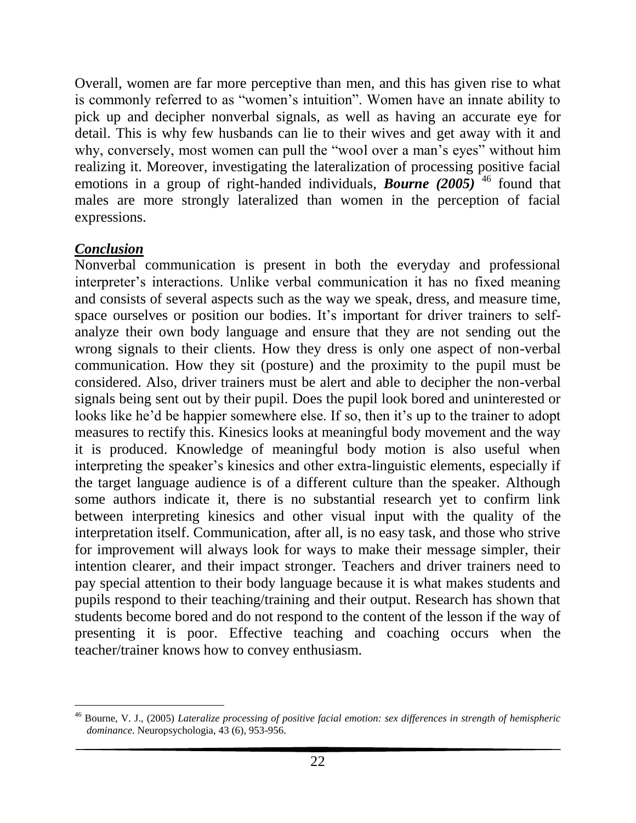Overall, women are far more perceptive than men, and this has given rise to what is commonly referred to as "women's intuition". Women have an innate ability to pick up and decipher nonverbal signals, as well as having an accurate eye for detail. This is why few husbands can lie to their wives and get away with it and why, conversely, most women can pull the "wool over a man's eyes" without him realizing it. Moreover, investigating the lateralization of processing positive facial emotions in a group of right-handed individuals, **Bourne**  $(2005)^{-46}$  found that males are more strongly lateralized than women in the perception of facial expressions.

### *Conclusion*

Nonverbal communication is present in both the everyday and professional interpreter's interactions. Unlike verbal communication it has no fixed meaning and consists of several aspects such as the way we speak, dress, and measure time, space ourselves or position our bodies. It's important for driver trainers to selfanalyze their own body language and ensure that they are not sending out the wrong signals to their clients. How they dress is only one aspect of non-verbal communication. How they sit (posture) and the proximity to the pupil must be considered. Also, driver trainers must be alert and able to decipher the non-verbal signals being sent out by their pupil. Does the pupil look bored and uninterested or looks like he'd be happier somewhere else. If so, then it's up to the trainer to adopt measures to rectify this. Kinesics looks at meaningful body movement and the way it is produced. Knowledge of meaningful body motion is also useful when interpreting the speaker's kinesics and other extra-linguistic elements, especially if the target language audience is of a different culture than the speaker. Although some authors indicate it, there is no substantial research yet to confirm link between interpreting kinesics and other visual input with the quality of the interpretation itself. Communication, after all, is no easy task, and those who strive for improvement will always look for ways to make their message simpler, their intention clearer, and their impact stronger. Teachers and driver trainers need to pay special attention to their body language because it is what makes students and pupils respond to their teaching/training and their output. Research has shown that students become bored and do not respond to the content of the lesson if the way of presenting it is poor. Effective teaching and coaching occurs when the teacher/trainer knows how to convey enthusiasm.

l <sup>46</sup> Bourne, V. J., (2005) *Lateralize processing of positive facial emotion: sex differences in strength of hemispheric dominance.* Neuropsychologia, 43 (6), 953-956.